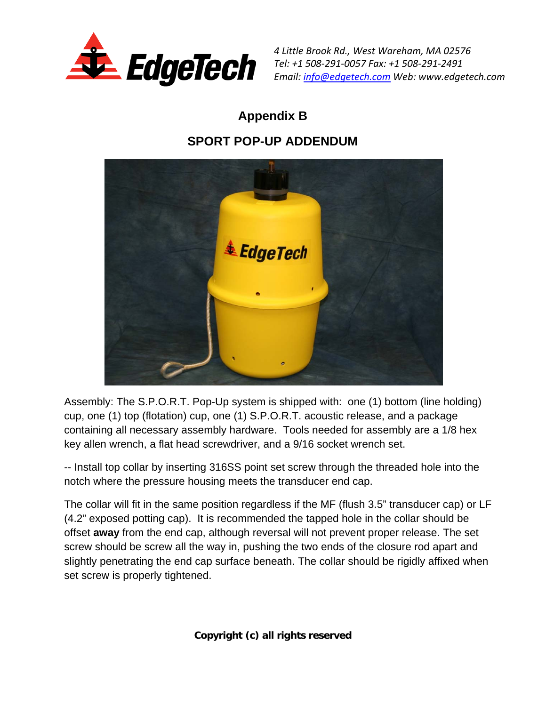

*4 Little Brook Rd., West Wareham, MA 02576 Tel: +1 508‐291‐0057 Fax: +1 508‐291‐2491 Email: info@edgetech.com Web: www.edgetech.com*

# **Appendix B**

## **SPORT POP-UP ADDENDUM**



Assembly: The S.P.O.R.T. Pop-Up system is shipped with: one (1) bottom (line holding) cup, one (1) top (flotation) cup, one (1) S.P.O.R.T. acoustic release, and a package containing all necessary assembly hardware. Tools needed for assembly are a 1/8 hex key allen wrench, a flat head screwdriver, and a 9/16 socket wrench set.

-- Install top collar by inserting 316SS point set screw through the threaded hole into the notch where the pressure housing meets the transducer end cap.

The collar will fit in the same position regardless if the MF (flush 3.5" transducer cap) or LF (4.2" exposed potting cap). It is recommended the tapped hole in the collar should be offset **away** from the end cap, although reversal will not prevent proper release. The set screw should be screw all the way in, pushing the two ends of the closure rod apart and slightly penetrating the end cap surface beneath. The collar should be rigidly affixed when set screw is properly tightened.

**Copyright (c) all rights reserved**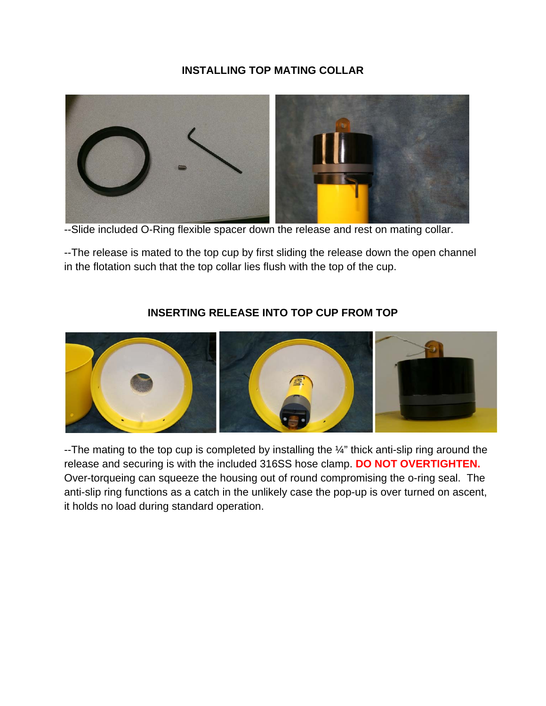#### **INSTALLING TOP MATING COLLAR**



--Slide included O-Ring flexible spacer down the release and rest on mating collar.

--The release is mated to the top cup by first sliding the release down the open channel in the flotation such that the top collar lies flush with the top of the cup.



### **INSERTING RELEASE INTO TOP CUP FROM TOP**

--The mating to the top cup is completed by installing the  $\frac{1}{4}$ " thick anti-slip ring around the release and securing is with the included 316SS hose clamp. **DO NOT OVERTIGHTEN.**  Over-torqueing can squeeze the housing out of round compromising the o-ring seal. The anti-slip ring functions as a catch in the unlikely case the pop-up is over turned on ascent, it holds no load during standard operation.